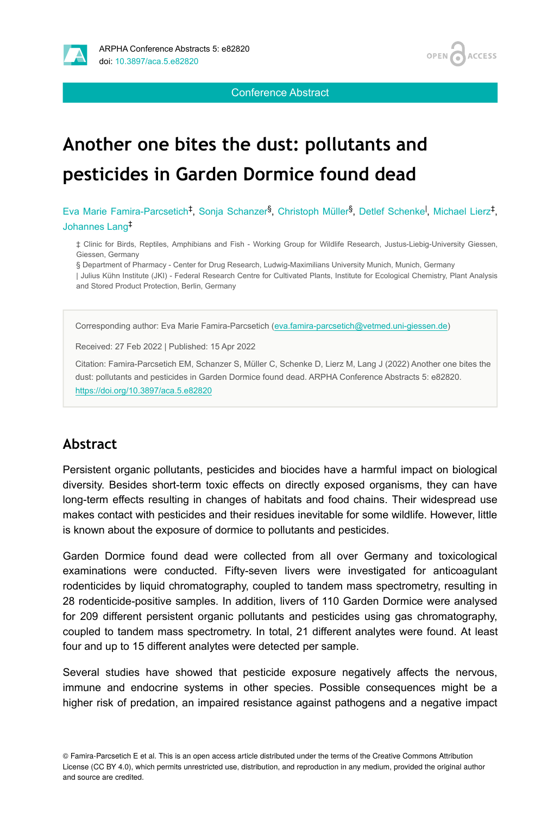



Conference Abstract

# **Another one bites the dust: pollutants and pesticides in Garden Dormice found dead**

Eva Marie Famira-Parcsetich<sup>‡</sup>, Sonja Schanzer<sup>§</sup>, Christoph Müller<sup>§</sup>, Detlef Schenke<sup>l</sup>, Michael Lierz<sup>‡</sup>, Johannes Lang ‡

‡ Clinic for Birds, Reptiles, Amphibians and Fish - Working Group for Wildlife Research, Justus-Liebig-University Giessen, Giessen, Germany

§ Department of Pharmacy - Center for Drug Research, Ludwig-Maximilians University Munich, Munich, Germany

| Julius Kühn Institute (JKI) - Federal Research Centre for Cultivated Plants, Institute for Ecological Chemistry, Plant Analysis and Stored Product Protection, Berlin, Germany

Corresponding author: Eva Marie Famira-Parcsetich ([eva.famira-parcsetich@vetmed.uni-giessen.de\)](mailto:eva.famira-parcsetich@vetmed.uni-giessen.de)

Received: 27 Feb 2022 | Published: 15 Apr 2022

Citation: Famira-Parcsetich EM, Schanzer S, Müller C, Schenke D, Lierz M, Lang J (2022) Another one bites the dust: pollutants and pesticides in Garden Dormice found dead. ARPHA Conference Abstracts 5: e82820. <https://doi.org/10.3897/aca.5.e82820>

## **Abstract**

Persistent organic pollutants, pesticides and biocides have a harmful impact on biological diversity. Besides short-term toxic effects on directly exposed organisms, they can have long-term effects resulting in changes of habitats and food chains. Their widespread use makes contact with pesticides and their residues inevitable for some wildlife. However, little is known about the exposure of dormice to pollutants and pesticides.

Garden Dormice found dead were collected from all over Germany and toxicological examinations were conducted. Fifty-seven livers were investigated for anticoagulant rodenticides by liquid chromatography, coupled to tandem mass spectrometry, resulting in 28 rodenticide-positive samples. In addition, livers of 110 Garden Dormice were analysed for 209 different persistent organic pollutants and pesticides using gas chromatography, coupled to tandem mass spectrometry. In total, 21 different analytes were found. At least four and up to 15 different analytes were detected per sample.

Several studies have showed that pesticide exposure negatively affects the nervous, immune and endocrine systems in other species. Possible consequences might be a higher risk of predation, an impaired resistance against pathogens and a negative impact